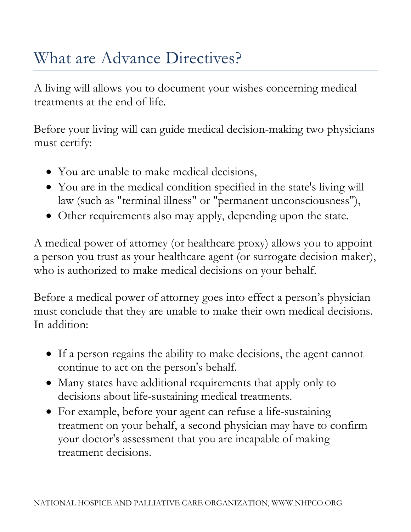## What are Advance Directives?

A living will allows you to document your wishes concerning medical treatments at the end of life.

Before your living will can guide medical decision-making two physicians must certify:

- You are unable to make medical decisions,
- You are in the medical condition specified in the state's living will law (such as "terminal illness" or "permanent unconsciousness"),
- Other requirements also may apply, depending upon the state.

A medical power of attorney (or healthcare proxy) allows you to appoint a person you trust as your healthcare agent (or surrogate decision maker), who is authorized to make medical decisions on your behalf.

Before a medical power of attorney goes into effect a person's physician must conclude that they are unable to make their own medical decisions. In addition:

- If a person regains the ability to make decisions, the agent cannot continue to act on the person's behalf.
- Many states have additional requirements that apply only to decisions about life-sustaining medical treatments.
- For example, before your agent can refuse a life-sustaining treatment on your behalf, a second physician may have to confirm your doctor's assessment that you are incapable of making treatment decisions.